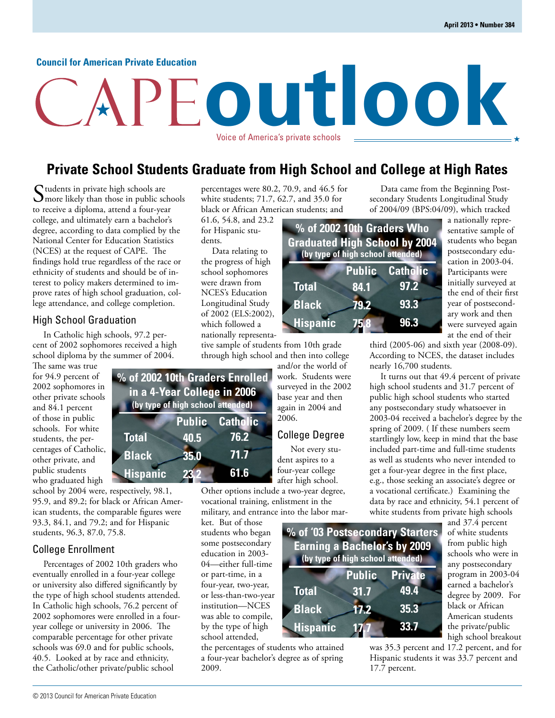#### **Council for American Private Education**

# **outlook** Voice of America's private schools

## **Private School Students Graduate from High School and College at High Rates**

Students in private high schools are  $\sum$  more likely than those in public schools to receive a diploma, attend a four-year college, and ultimately earn a bachelor's degree, according to data complied by the National Center for Education Statistics (NCES) at the request of CAPE. The findings hold true regardless of the race or ethnicity of students and should be of interest to policy makers determined to improve rates of high school graduation, college attendance, and college completion.

#### High School Graduation

In Catholic high schools, 97.2 percent of 2002 sophomores received a high school diploma by the summer of 2004.

The same was true for 94.9 percent of 2002 sophomores in other private schools and 84.1 percent of those in public schools. For white students, the percentages of Catholic, other private, and public students who graduated high

school by 2004 were, respectively, 98.1, 95.9, and 89.2; for black or African American students, the comparable figures were 93.3, 84.1, and 79.2; and for Hispanic students, 96.3, 87.0, 75.8.

#### College Enrollment

Percentages of 2002 10th graders who eventually enrolled in a four-year college or university also differed significantly by the type of high school students attended. In Catholic high schools, 76.2 percent of 2002 sophomores were enrolled in a fouryear college or university in 2006. The comparable percentage for other private schools was 69.0 and for public schools, 40.5. Looked at by race and ethnicity, the Catholic/other private/public school

percentages were 80.2, 70.9, and 46.5 for white students; 71.7, 62.7, and 35.0 for black or African American students; and

61.6, 54.8, and 23.2 for Hispanic students.

Data relating to the progress of high school sophomores were drawn from NCES's Education Longitudinal Study of 2002 (ELS:2002), which followed a nationally representa-

tive sample of students from 10th grade through high school and then into college

and/or the world of work. Students were surveyed in the 2002 base year and then again in 2004 and 2006.

#### College Degree

 Not every student aspires to a four-year college after high school. Other options include a two-year degree,

> **Total Black**

**Hispanic**

vocational training, enlistment in the military, and entrance into the labor mar-

ket. But of those students who began some postsecondary education in 2003- 04—either full-time or part-time, in a four-year, two-year, or less-than-two-year institution—NCES was able to compile, by the type of high school attended,

the percentages of students who attained a four-year bachelor's degree as of spring 2009.

Data came from the Beginning Postsecondary Students Longitudinal Study of 2004/09 (BPS:04/09), which tracked

**% of 2002 10th Graders Who Graduated High School by 2004 Total Black Hispanic Public Catholic 84.1 79.2 75.8 97.2 93.3 96.3 (by type of high school attended)**

**% of '03 Postsecondary Starters Earning a Bachelor's by 2009**

**(by type of high school attended)**

**31.7 17.2**

**17.7**

**Public Private**

**49.4 35.3**

**33.7**

a nationally representative sample of students who began postsecondary education in 2003-04. Participants were initially surveyed at the end of their first year of postsecondary work and then were surveyed again at the end of their

third (2005-06) and sixth year (2008-09). According to NCES, the dataset includes nearly 16,700 students.

It turns out that 49.4 percent of private high school students and 31.7 percent of public high school students who started any postsecondary study whatsoever in 2003-04 received a bachelor's degree by the spring of 2009. ( If these numbers seem startlingly low, keep in mind that the base included part-time and full-time students as well as students who never intended to get a four-year degree in the first place, e.g., those seeking an associate's degree or a vocational certificate.) Examining the data by race and ethnicity, 54.1 percent of white students from private high schools

| and 37.4 percent     |
|----------------------|
| of white students    |
| from public high     |
| schools who were in  |
| any postsecondary    |
| program in 2003-04   |
| earned a bachelor's  |
| degree by 2009. For  |
| black or African     |
| American students    |
| the private/public   |
| high school breakout |

was 35.3 percent and 17.2 percent, and for Hispanic students it was 33.7 percent and 17.7 percent.

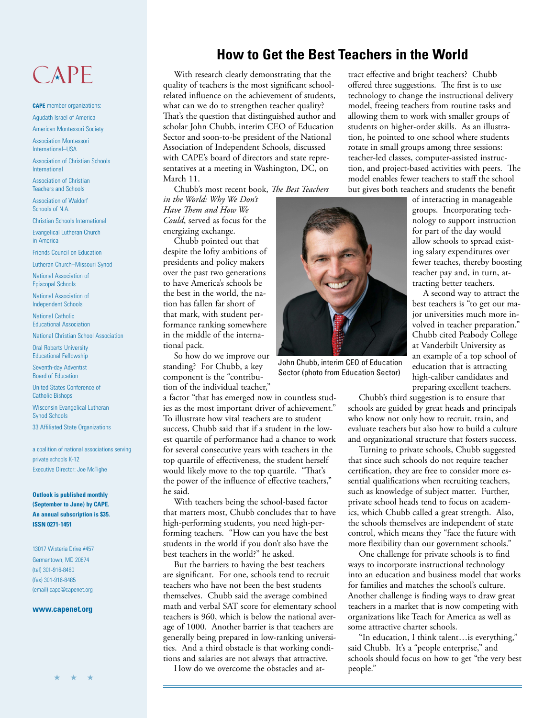## CAPE

**CAPE** member organizations: Agudath Israel of America

American Montessori Society

Association Montessori International–USA

Association of Christian Schools International

Association of Christian Teachers and Schools

Association of Waldorf Schools of N.A.

Christian Schools International

Evangelical Lutheran Church in America

Friends Council on Education

Lutheran Church–Missouri Synod

National Association of Episcopal Schools

National Association of Independent Schools

National Catholic Educational Association

National Christian School Association

Oral Roberts University Educational Fellowship

Seventh-day Adventist Board of Education

United States Conference of Catholic Bishops

Wisconsin Evangelical Lutheran Synod Schools

33 Affiliated State Organizations

a coalition of national associations serving private schools K-12 Executive Director: Joe McTighe

**Outlook is published monthly (September to June) by CAPE. An annual subscription is \$35. ISSN 0271-1451**

13017 Wisteria Drive #457 Germantown, MD 20874 (tel) 301-916-8460 (fax) 301-916-8485 (email) cape@capenet.org

#### **www.capenet.org**

★ ★ ★

## **How to Get the Best Teachers in the World**

With research clearly demonstrating that the quality of teachers is the most significant schoolrelated influence on the achievement of students, what can we do to strengthen teacher quality? That's the question that distinguished author and scholar John Chubb, interim CEO of Education Sector and soon-to-be president of the National Association of Independent Schools, discussed with CAPE's board of directors and state representatives at a meeting in Washington, DC, on March 11.

Chubb's most recent book, *The Best Teachers* 

*in the World: Why We Don't Have Them and How We Could*, served as focus for the energizing exchange.

Chubb pointed out that despite the lofty ambitions of presidents and policy makers over the past two generations to have America's schools be the best in the world, the nation has fallen far short of that mark, with student performance ranking somewhere in the middle of the international pack.

So how do we improve our standing? For Chubb, a key component is the "contribution of the individual teacher,"

a factor "that has emerged now in countless studies as the most important driver of achievement." To illustrate how vital teachers are to student success, Chubb said that if a student in the lowest quartile of performance had a chance to work for several consecutive years with teachers in the top quartile of effectiveness, the student herself would likely move to the top quartile. "That's the power of the influence of effective teachers," he said.

With teachers being the school-based factor that matters most, Chubb concludes that to have high-performing students, you need high-performing teachers. "How can you have the best students in the world if you don't also have the best teachers in the world?" he asked.

But the barriers to having the best teachers are significant. For one, schools tend to recruit teachers who have not been the best students themselves. Chubb said the average combined math and verbal SAT score for elementary school teachers is 960, which is below the national average of 1000. Another barrier is that teachers are generally being prepared in low-ranking universities. And a third obstacle is that working conditions and salaries are not always that attractive.

How do we overcome the obstacles and at-

tract effective and bright teachers? Chubb offered three suggestions. The first is to use technology to change the instructional delivery model, freeing teachers from routine tasks and allowing them to work with smaller groups of students on higher-order skills. As an illustration, he pointed to one school where students rotate in small groups among three sessions: teacher-led classes, computer-assisted instruction, and project-based activities with peers. The model enables fewer teachers to staff the school but gives both teachers and students the benefit



John Chubb, interim CEO of Education Sector (photo from Education Sector)

of interacting in manageable groups. Incorporating technology to support instruction for part of the day would allow schools to spread existing salary expenditures over fewer teaches, thereby boosting teacher pay and, in turn, attracting better teachers.

A second way to attract the best teachers is "to get our major universities much more involved in teacher preparation." Chubb cited Peabody College at Vanderbilt University as an example of a top school of education that is attracting high-caliber candidates and preparing excellent teachers.

Chubb's third suggestion is to ensure that schools are guided by great heads and principals who know not only how to recruit, train, and evaluate teachers but also how to build a culture and organizational structure that fosters success.

Turning to private schools, Chubb suggested that since such schools do not require teacher certification, they are free to consider more essential qualifications when recruiting teachers, such as knowledge of subject matter. Further, private school heads tend to focus on academics, which Chubb called a great strength. Also, the schools themselves are independent of state control, which means they "face the future with more flexibility than our government schools."

One challenge for private schools is to find ways to incorporate instructional technology into an education and business model that works for families and matches the school's culture. Another challenge is finding ways to draw great teachers in a market that is now competing with organizations like Teach for America as well as some attractive charter schools.

"In education, I think talent…is everything," said Chubb. It's a "people enterprise," and schools should focus on how to get "the very best people."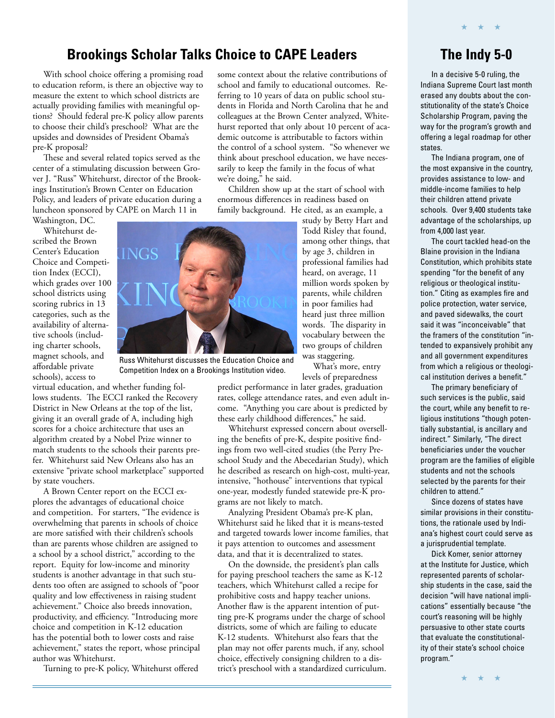### **Brookings Scholar Talks Choice to CAPE Leaders**

With school choice offering a promising road to education reform, is there an objective way to measure the extent to which school districts are actually providing families with meaningful options? Should federal pre-K policy allow parents to choose their child's preschool? What are the upsides and downsides of President Obama's pre-K proposal?

These and several related topics served as the center of a stimulating discussion between Grover J. "Russ" Whitehurst, director of the Brookings Institution's Brown Center on Education Policy, and leaders of private education during a luncheon sponsored by CAPE on March 11 in Washington, DC.

Whitehurst described the Brown Center's Education Choice and Competition Index (ECCI), which grades over 100 school districts using scoring rubrics in 13 categories, such as the availability of alternative schools (including charter schools, magnet schools, and affordable private schools), access to

we're doing," he said. Children show up at the start of school with enormous differences in readiness based on family background. He cited, as an example, a study by Betty Hart and Todd Risley that found, among other things, that by age 3, children in professional families had heard, on average, 11 million words spoken by parents, while children in poor families had

Russ Whitehurst discusses the Education Choice and Competition Index on a Brookings Institution video.

virtual education, and whether funding follows students. The ECCI ranked the Recovery District in New Orleans at the top of the list, giving it an overall grade of A, including high scores for a choice architecture that uses an algorithm created by a Nobel Prize winner to match students to the schools their parents prefer. Whitehurst said New Orleans also has an extensive "private school marketplace" supported by state vouchers.

A Brown Center report on the ECCI explores the advantages of educational choice and competition. For starters, "The evidence is overwhelming that parents in schools of choice are more satisfied with their children's schools than are parents whose children are assigned to a school by a school district," according to the report. Equity for low-income and minority students is another advantage in that such students too often are assigned to schools of "poor quality and low effectiveness in raising student achievement." Choice also breeds innovation, productivity, and efficiency. "Introducing more choice and competition in K-12 education has the potential both to lower costs and raise achievement," states the report, whose principal author was Whitehurst.

Turning to pre-K policy, Whitehurst offered

levels of preparedness predict performance in later grades, graduation rates, college attendance rates, and even adult income. "Anything you care about is predicted by these early childhood differences," he said.

heard just three million words. The disparity in vocabulary between the two groups of children was staggering.

What's more, entry

some context about the relative contributions of school and family to educational outcomes. Referring to 10 years of data on public school students in Florida and North Carolina that he and colleagues at the Brown Center analyzed, Whitehurst reported that only about 10 percent of academic outcome is attributable to factors within the control of a school system. "So whenever we think about preschool education, we have necessarily to keep the family in the focus of what

Whitehurst expressed concern about overselling the benefits of pre-K, despite positive findings from two well-cited studies (the Perry Preschool Study and the Abecedarian Study), which he described as research on high-cost, multi-year, intensive, "hothouse" interventions that typical one-year, modestly funded statewide pre-K programs are not likely to match.

Analyzing President Obama's pre-K plan, Whitehurst said he liked that it is means-tested and targeted towards lower income families, that it pays attention to outcomes and assessment data, and that it is decentralized to states.

On the downside, the president's plan calls for paying preschool teachers the same as K-12 teachers, which Whitehurst called a recipe for prohibitive costs and happy teacher unions. Another flaw is the apparent intention of putting pre-K programs under the charge of school districts, some of which are failing to educate K-12 students. Whitehurst also fears that the plan may not offer parents much, if any, school choice, effectively consigning children to a district's preschool with a standardized curriculum.

## **The Indy 5-0**

In a decisive 5-0 ruling, the Indiana Supreme Court last month erased any doubts about the constitutionality of the state's Choice Scholarship Program, paving the way for the program's growth and offering a legal roadmap for other states.

The Indiana program, one of the most expansive in the country, provides assistance to low- and middle-income families to help their children attend private schools. Over 9,400 students take advantage of the scholarships, up from 4,000 last year.

The court tackled head-on the Blaine provision in the Indiana Constitution, which prohibits state spending "for the benefit of any religious or theological institution." Citing as examples fire and police protection, water service, and paved sidewalks, the court said it was "inconceivable" that the framers of the constitution "intended to expansively prohibit any and all government expenditures from which a religious or theological institution derives a benefit."

The primary beneficiary of such services is the public, said the court, while any benefit to religious institutions "though potentially substantial, is ancillary and indirect." Similarly, "The direct beneficiaries under the voucher program are the families of eligible students and not the schools selected by the parents for their children to attend."

Since dozens of states have similar provisions in their constitutions, the rationale used by Indiana's highest court could serve as a jurisprudential template.

Dick Komer, senior attorney at the Institute for Justice, which represented parents of scholarship students in the case, said the decision "will have national implications" essentially because "the court's reasoning will be highly persuasive to other state courts that evaluate the constitutionality of their state's school choice program."

★ ★ ★